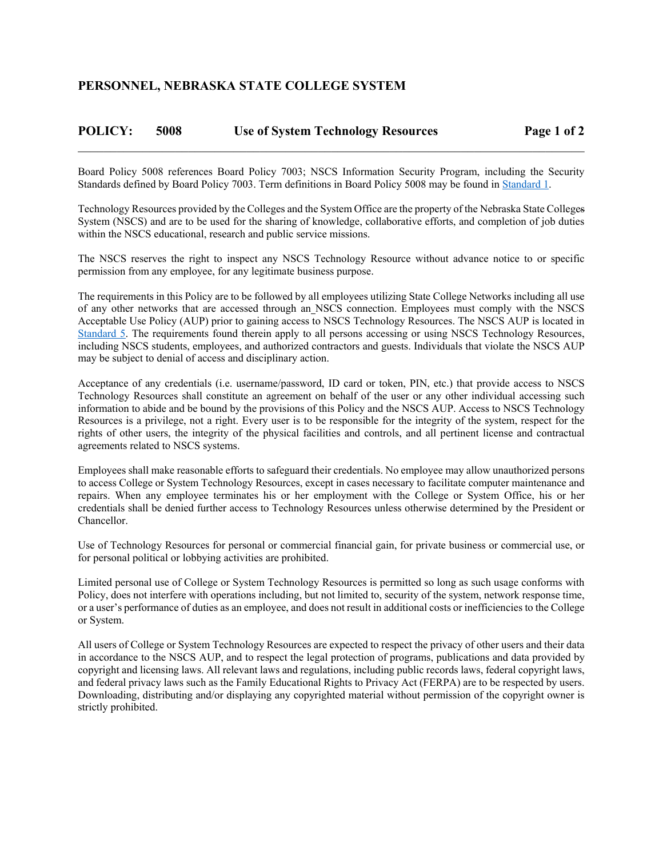## **POLICY: 5008 Use of System Technology Resources Page 1 of 2**   $\mathcal{L}_\mathcal{L} = \mathcal{L}_\mathcal{L} = \mathcal{L}_\mathcal{L} = \mathcal{L}_\mathcal{L} = \mathcal{L}_\mathcal{L} = \mathcal{L}_\mathcal{L} = \mathcal{L}_\mathcal{L} = \mathcal{L}_\mathcal{L} = \mathcal{L}_\mathcal{L} = \mathcal{L}_\mathcal{L} = \mathcal{L}_\mathcal{L} = \mathcal{L}_\mathcal{L} = \mathcal{L}_\mathcal{L} = \mathcal{L}_\mathcal{L} = \mathcal{L}_\mathcal{L} = \mathcal{L}_\mathcal{L} = \mathcal{L}_\mathcal{L}$

Board Policy 5008 references Board Policy 7003; NSCS Information Security Program, including the Security Standards defined by Board Policy 7003. Term definitions in Board Policy 5008 may be found in Standard 1.

Technology Resources provided by the Colleges and the System Office are the property of the Nebraska State Colleges System (NSCS) and are to be used for the sharing of knowledge, collaborative efforts, and completion of job duties within the NSCS educational, research and public service missions.

The NSCS reserves the right to inspect any NSCS Technology Resource without advance notice to or specific permission from any employee, for any legitimate business purpose.

The requirements in this Policy are to be followed by all employees utilizing State College Networks including all use of any other networks that are accessed through an NSCS connection. Employees must comply with the NSCS Acceptable Use Policy (AUP) prior to gaining access to NSCS Technology Resources. The NSCS AUP is located in Standard 5. The requirements found therein apply to all persons accessing or using NSCS Technology Resources, including NSCS students, employees, and authorized contractors and guests. Individuals that violate the NSCS AUP may be subject to denial of access and disciplinary action.

Acceptance of any credentials (i.e. username/password, ID card or token, PIN, etc.) that provide access to NSCS Technology Resources shall constitute an agreement on behalf of the user or any other individual accessing such information to abide and be bound by the provisions of this Policy and the NSCS AUP. Access to NSCS Technology Resources is a privilege, not a right. Every user is to be responsible for the integrity of the system, respect for the rights of other users, the integrity of the physical facilities and controls, and all pertinent license and contractual agreements related to NSCS systems.

Employees shall make reasonable efforts to safeguard their credentials. No employee may allow unauthorized persons to access College or System Technology Resources, except in cases necessary to facilitate computer maintenance and repairs. When any employee terminates his or her employment with the College or System Office, his or her credentials shall be denied further access to Technology Resources unless otherwise determined by the President or Chancellor.

Use of Technology Resources for personal or commercial financial gain, for private business or commercial use, or for personal political or lobbying activities are prohibited.

Limited personal use of College or System Technology Resources is permitted so long as such usage conforms with Policy, does not interfere with operations including, but not limited to, security of the system, network response time, or a user's performance of duties as an employee, and does not result in additional costs or inefficiencies to the College or System.

All users of College or System Technology Resources are expected to respect the privacy of other users and their data in accordance to the NSCS AUP, and to respect the legal protection of programs, publications and data provided by copyright and licensing laws. All relevant laws and regulations, including public records laws, federal copyright laws, and federal privacy laws such as the Family Educational Rights to Privacy Act (FERPA) are to be respected by users. Downloading, distributing and/or displaying any copyrighted material without permission of the copyright owner is strictly prohibited.